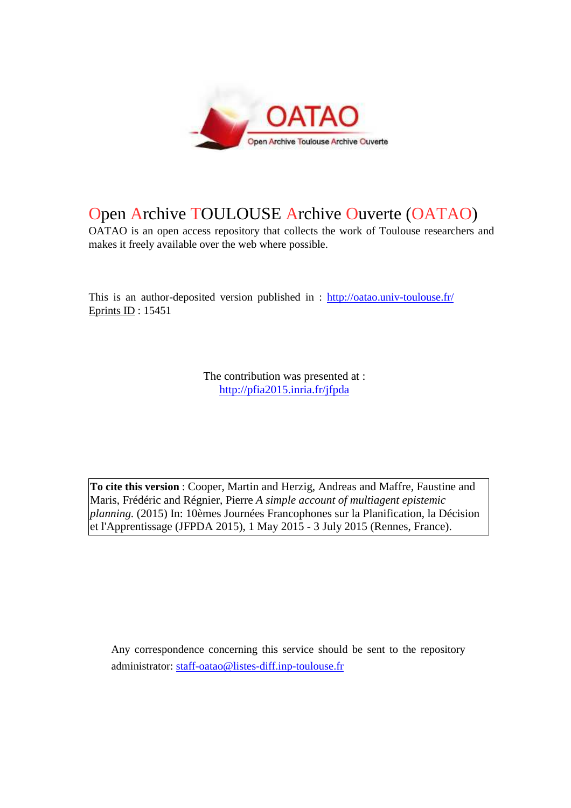

# Open Archive TOULOUSE Archive Ouverte (OATAO)

OATAO is an open access repository that collects the work of Toulouse researchers and makes it freely available over the web where possible.

This is an author-deposited version published in : http://oatao.univ-toulouse.fr/ Eprints ID : 15451

> The contribution was presented at : http://pfia2015.inria.fr/jfpda

**To cite this version** : Cooper, Martin and Herzig, Andreas and Maffre, Faustine and Maris, Frédéric and Régnier, Pierre *A simple account of multiagent epistemic planning.* (2015) In: 10èmes Journées Francophones sur la Planification, la Décision et l'Apprentissage (JFPDA 2015), 1 May 2015 - 3 July 2015 (Rennes, France).

Any correspondence concerning this service should be sent to the repository administrator: staff-oatao@listes-diff.inp-toulouse.fr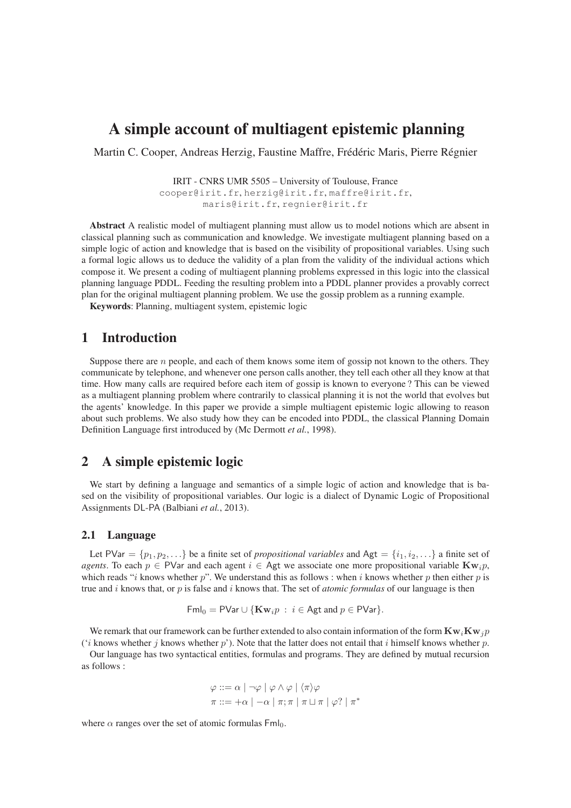## A simple account of multiagent epistemic planning

Martin C. Cooper, Andreas Herzig, Faustine Maffre, Frédéric Maris, Pierre Régnier

IRIT - CNRS UMR 5505 – University of Toulouse, France cooper@irit.fr, herzig@irit.fr, maffre@irit.fr, maris@irit.fr, regnier@irit.fr

Abstract A realistic model of multiagent planning must allow us to model notions which are absent in classical planning such as communication and knowledge. We investigate multiagent planning based on a simple logic of action and knowledge that is based on the visibility of propositional variables. Using such a formal logic allows us to deduce the validity of a plan from the validity of the individual actions which compose it. We present a coding of multiagent planning problems expressed in this logic into the classical planning language PDDL. Feeding the resulting problem into a PDDL planner provides a provably correct plan for the original multiagent planning problem. We use the gossip problem as a running example.

Keywords: Planning, multiagent system, epistemic logic

### 1 Introduction

Suppose there are  $n$  people, and each of them knows some item of gossip not known to the others. They communicate by telephone, and whenever one person calls another, they tell each other all they know at that time. How many calls are required before each item of gossip is known to everyone ? This can be viewed as a multiagent planning problem where contrarily to classical planning it is not the world that evolves but the agents' knowledge. In this paper we provide a simple multiagent epistemic logic allowing to reason about such problems. We also study how they can be encoded into PDDL, the classical Planning Domain Definition Language first introduced by (Mc Dermott *et al.*, 1998).

### 2 A simple epistemic logic

We start by defining a language and semantics of a simple logic of action and knowledge that is based on the visibility of propositional variables. Our logic is a dialect of Dynamic Logic of Propositional Assignments DL-PA (Balbiani *et al.*, 2013).

#### 2.1 Language

Let PVar =  $\{p_1, p_2, ...\}$  be a finite set of *propositional variables* and Agt =  $\{i_1, i_2,...\}$  a finite set of *agents*. To each  $p \in \text{PVar}$  and each agent  $i \in \text{Agt}$  we associate one more propositional variable  $\mathbf{Kw}, p$ . which reads "*i* knows whether p". We understand this as follows : when *i* knows whether p then either p is true and i knows that, or p is false and i knows that. The set of *atomic formulas* of our language is then

$$
\mathsf{Fml}_0 = \mathsf{PVar} \cup \{ \mathbf{Kw}_i p \, : \, i \in \mathsf{Agt} \text{ and } p \in \mathsf{PVar} \}.
$$

We remark that our framework can be further extended to also contain information of the form  $\mathbf{Kw}_i\mathbf{Kw}_j$ ('i knows whether j knows whether p'). Note that the latter does not entail that i himself knows whether p.

Our language has two syntactical entities, formulas and programs. They are defined by mutual recursion as follows :

$$
\varphi ::= \alpha \mid \neg \varphi \mid \varphi \land \varphi \mid \langle \pi \rangle \varphi
$$

$$
\pi ::= +\alpha \mid -\alpha \mid \pi; \pi \mid \pi \sqcup \pi \mid \varphi? \mid \pi^*
$$

where  $\alpha$  ranges over the set of atomic formulas  $\text{Fml}_0$ .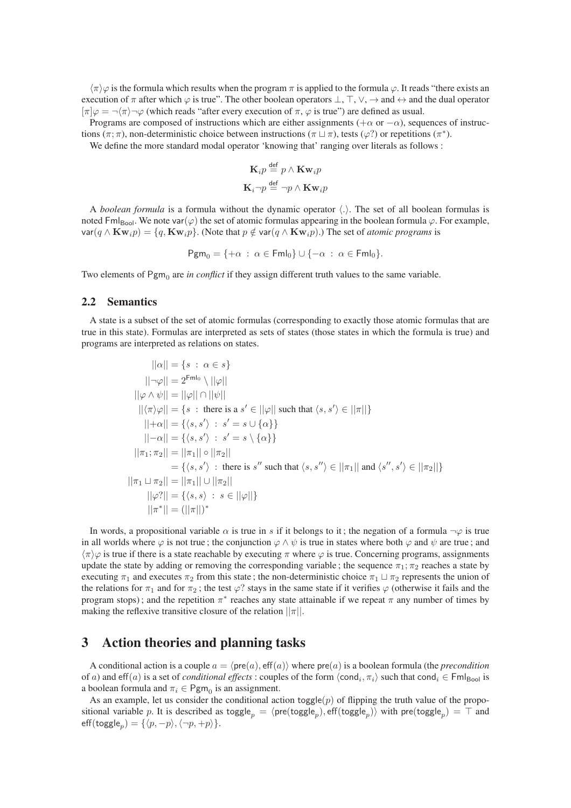$\langle \pi \rangle \varphi$  is the formula which results when the program  $\pi$  is applied to the formula  $\varphi$ . It reads "there exists an execution of  $\pi$  after which  $\varphi$  is true". The other boolean operators  $\bot$ ,  $\top$ ,  $\vee$ ,  $\rightarrow$  and  $\leftrightarrow$  and the dual operator  $[\pi]\varphi = \neg(\pi)\neg\varphi$  (which reads "after every execution of  $\pi$ ,  $\varphi$  is true") are defined as usual.

Programs are composed of instructions which are either assignments ( $+\alpha$  or  $-\alpha$ ), sequences of instructions ( $\pi$ ;  $\pi$ ), non-deterministic choice between instructions ( $\pi \sqcup \pi$ ), tests ( $\varphi$ ?) or repetitions ( $\pi$ <sup>\*</sup>).

We define the more standard modal operator 'knowing that' ranging over literals as follows :

$$
\mathbf{K}_{i}p \stackrel{\text{def}}{=} p \land \mathbf{Kw}_{i}p
$$

$$
\mathbf{K}_{i} \neg p \stackrel{\text{def}}{=} \neg p \land \mathbf{Kw}_{i}p
$$

A *boolean formula* is a formula without the dynamic operator  $\langle . \rangle$ . The set of all boolean formulas is noted Fml<sub>Bool</sub>. We note var( $\varphi$ ) the set of atomic formulas appearing in the boolean formula  $\varphi$ . For example, var(q ∧ **Kw**<sub>i</sub> $p$ ) = {q, **Kw**<sub>i</sub> $p$ }. (Note that  $p \notin var(q \land$  **Kw**<sub>i</sub> $p$ ).) The set of *atomic programs* is

$$
\mathsf{Pgm}_0 = \{ +\alpha \, : \, \alpha \in \mathsf{Fml}_0 \} \cup \{ -\alpha \, : \, \alpha \in \mathsf{Fml}_0 \}.
$$

Two elements of Pgm<sub>0</sub> are *in conflict* if they assign different truth values to the same variable.

#### 2.2 Semantics

A state is a subset of the set of atomic formulas (corresponding to exactly those atomic formulas that are true in this state). Formulas are interpreted as sets of states (those states in which the formula is true) and programs are interpreted as relations on states.

$$
||\alpha|| = \{s : \alpha \in s\}
$$
  
\n
$$
||\neg\varphi|| = 2^{Fml_0} \setminus ||\varphi||
$$
  
\n
$$
||\varphi \wedge \psi|| = ||\varphi|| \cap ||\psi||
$$
  
\n
$$
||\langle \pi \rangle \varphi|| = \{s : \text{ there is a } s' \in ||\varphi|| \text{ such that } \langle s, s' \rangle \in ||\pi||\}
$$
  
\n
$$
||+\alpha|| = \{\langle s, s' \rangle : s' = s \cup \{\alpha\}\}
$$
  
\n
$$
||-\alpha|| = \{\langle s, s' \rangle : s' = s \setminus \{\alpha\}\}
$$
  
\n
$$
||\pi_1; \pi_2|| = ||\pi_1|| \circ ||\pi_2||
$$
  
\n
$$
= \{\langle s, s' \rangle : \text{ there is } s'' \text{ such that } \langle s, s'' \rangle \in ||\pi_1|| \text{ and } \langle s'', s' \rangle \in ||\pi_2||\}
$$
  
\n
$$
||\pi_1 \sqcup \pi_2|| = ||\pi_1|| \cup ||\pi_2||
$$
  
\n
$$
||\varphi?|| = \{\langle s, s \rangle : s \in ||\varphi||\}
$$
  
\n
$$
||\pi^*|| = (||\pi||)^*
$$

In words, a propositional variable  $\alpha$  is true in s if it belongs to it; the negation of a formula  $\neg \varphi$  is true in all worlds where  $\varphi$  is not true; the conjunction  $\varphi \wedge \psi$  is true in states where both  $\varphi$  and  $\psi$  are true; and  $\langle \pi \rangle \varphi$  is true if there is a state reachable by executing  $\pi$  where  $\varphi$  is true. Concerning programs, assignments update the state by adding or removing the corresponding variable; the sequence  $\pi_1$ ;  $\pi_2$  reaches a state by executing  $\pi_1$  and executes  $\pi_2$  from this state; the non-deterministic choice  $\pi_1 \sqcup \pi_2$  represents the union of the relations for  $\pi_1$  and for  $\pi_2$ ; the test  $\varphi$ ? stays in the same state if it verifies  $\varphi$  (otherwise it fails and the program stops); and the repetition  $\pi^*$  reaches any state attainable if we repeat  $\pi$  any number of times by making the reflexive transitive closure of the relation  $||\pi||$ .

### 3 Action theories and planning tasks

A conditional action is a couple  $a = \langle pre(a), eff(a) \rangle$  where  $pre(a)$  is a boolean formula (the *precondition* of a) and eff(a) is a set of *conditional effects* : couples of the form  $\langle \text{cond}_i, \pi_i \rangle$  such that cond $_i \in \text{Fml}_{\text{Bool}}$  is a boolean formula and  $\pi_i \in \text{Pgm}_0$  is an assignment.

As an example, let us consider the conditional action toggle(p) of flipping the truth value of the propositional variable p. It is described as toggle $_p = \langle \mathsf{pre}(\mathsf{toggle}_p), \mathsf{eff}(\mathsf{toggle}_p) \rangle$  with  $\mathsf{pre}(\mathsf{toggle}_p) = \top$  and  $\operatorname{\sf eff}(\operatorname{toggle}_p) = \{\langle p,-p\rangle,\langle \neg p,+p\rangle\}.$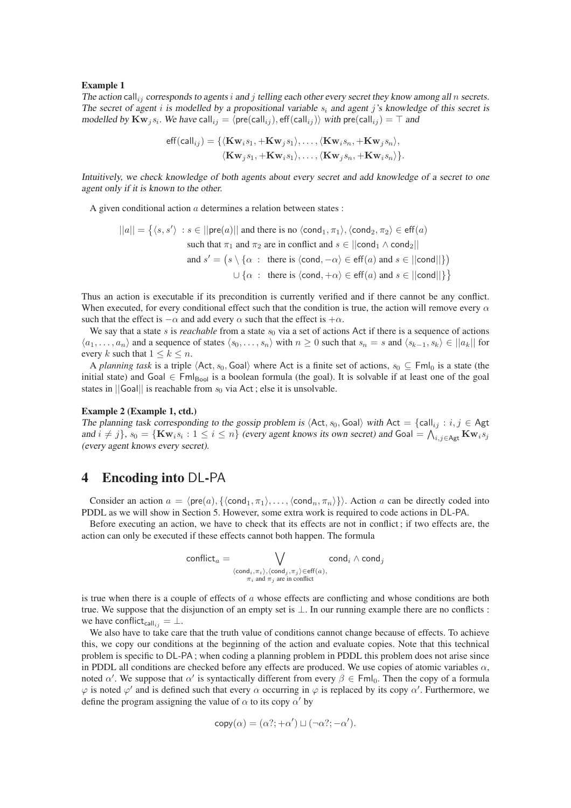#### Example 1

*The action* call<sub>ij</sub> corresponds to agents *i* and *j* telling each other every secret they know among all *n* secrets. *The secret of agent* i *is modelled by a propositional variable* s<sup>i</sup> *and agent* j*'s knowledge of this secret is modelled by*  $\mathbf{Kw}_j s_i$ . We have call<sub>ij</sub> =  $\langle \mathsf{pre}(\mathsf{call}_{ij}), \mathsf{eff}(\mathsf{call}_{ij}) \rangle$  *with*  $\mathsf{pre}(\mathsf{call}_{ij}) = \top$  *and* 

$$
\begin{aligned} \mathsf{eff}(\mathsf{call}_{ij}) = \{ & \langle \mathbf{Kw}_i s_1, +\mathbf{Kw}_j s_1 \rangle, \dots, \langle \mathbf{Kw}_i s_n, +\mathbf{Kw}_j s_n \rangle, \\ & \langle \mathbf{Kw}_j s_1, +\mathbf{Kw}_i s_1 \rangle, \dots, \langle \mathbf{Kw}_j s_n, +\mathbf{Kw}_i s_n \rangle \}. \end{aligned}
$$

*Intuitively, we check knowledge of both agents about every secret and add knowledge of a secret to one agent only if it is known to the other.*

A given conditional action  $a$  determines a relation between states :

$$
||a|| = \{ \langle s, s' \rangle : s \in ||\text{pre}(a)|| \text{ and there is no } \langle \text{cond}_1, \pi_1 \rangle, \langle \text{cond}_2, \pi_2 \rangle \in \text{eff}(a) \}
$$
  
such that  $\pi_1$  and  $\pi_2$  are in conflict and  $s \in ||\text{cond}_1 \wedge \text{cond}_2||$   
and  $s' = \{ s \setminus \{ \alpha : \text{ there is } \langle \text{cond}, -\alpha \rangle \in \text{eff}(a) \text{ and } s \in ||\text{cond}|| \} \}$   
 $\cup \{ \alpha : \text{ there is } \langle \text{cond}, +\alpha \rangle \in \text{eff}(a) \text{ and } s \in ||\text{cond}|| \} \}$ 

Thus an action is executable if its precondition is currently verified and if there cannot be any conflict. When executed, for every conditional effect such that the condition is true, the action will remove every  $\alpha$ such that the effect is  $-\alpha$  and add every  $\alpha$  such that the effect is  $+\alpha$ .

We say that a state s is *reachable* from a state  $s_0$  via a set of actions Act if there is a sequence of actions  $\langle a_1, \ldots, a_n \rangle$  and a sequence of states  $\langle s_0, \ldots, s_n \rangle$  with  $n \geq 0$  such that  $s_n = s$  and  $\langle s_{k-1}, s_k \rangle \in ||a_k||$  for every k such that  $1 \leq k \leq n$ .

A *planning task* is a triple  $\langle$ Act, s<sub>0</sub>, Goal) where Act is a finite set of actions, s<sub>0</sub>  $\subseteq$  Fml<sub>0</sub> is a state (the initial state) and Goal  $\in$  Fml<sub>Bool</sub> is a boolean formula (the goal). It is solvable if at least one of the goal states in  $||$ Goal $||$  is reachable from  $s_0$  via Act; else it is unsolvable.

#### Example 2 (Example 1, ctd.)

*The planning task corresponding to the gossip problem is*  $\langle$ Act,  $s_0$ , Goal $\rangle$  *with* Act = {call<sub>ij</sub> :  $i, j \in$  Agt and  $i \neq j$ ,  $s_0 = {\text{Kw}_i s_i : 1 \leq i \leq n}$  *(every agent knows its own secret) and* Goal =  $\bigwedge_{i,j \in \text{Agt}}^i$  Kw<sub>i</sub>s<sub>j</sub> *(every agent knows every secret).*

### 4 Encoding into DL-PA

Consider an action  $a = \langle \text{pre}(a), \{\langle \text{cond}_1, \pi_1 \rangle, \ldots, \langle \text{cond}_n, \pi_n \rangle\} \rangle$ . Action a can be directly coded into PDDL as we will show in Section 5. However, some extra work is required to code actions in DL-PA.

Before executing an action, we have to check that its effects are not in conflict ; if two effects are, the action can only be executed if these effects cannot both happen. The formula

$$
\text{conflict}_{a} = \bigvee_{\substack{\langle \text{cond}_i, \pi_i \rangle, \langle \text{cond}_j, \pi_j \rangle \in \text{eff}(a),\\ \pi_i \text{ and } \pi_j \text{ are in conflict}}} \text{cond}_i \land \text{cond}_j
$$

is true when there is a couple of effects of  $a$  whose effects are conflicting and whose conditions are both true. We suppose that the disjunction of an empty set is ⊥. In our running example there are no conflicts : we have conflict<sub>calli</sub> $= \perp$ .

We also have to take care that the truth value of conditions cannot change because of effects. To achieve this, we copy our conditions at the beginning of the action and evaluate copies. Note that this technical problem is specific to DL-PA ; when coding a planning problem in PDDL this problem does not arise since in PDDL all conditions are checked before any effects are produced. We use copies of atomic variables  $\alpha$ , noted  $\alpha'$ . We suppose that  $\alpha'$  is syntactically different from every  $\beta \in \text{Fml}_0$ . Then the copy of a formula  $\varphi$  is noted  $\varphi'$  and is defined such that every  $\alpha$  occurring in  $\varphi$  is replaced by its copy  $\alpha'$ . Furthermore, we define the program assigning the value of  $\alpha$  to its copy  $\alpha'$  by

$$
copy(\alpha) = (\alpha?; +\alpha') \sqcup (\neg \alpha?; -\alpha').
$$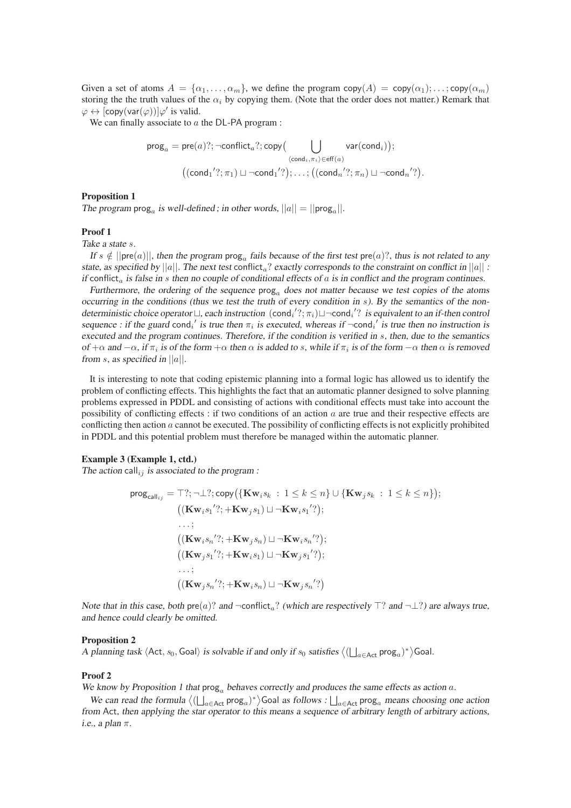Given a set of atoms  $A = \{\alpha_1, \dots, \alpha_m\}$ , we define the program copy $(A) = \text{copy}(\alpha_1); \dots; \text{copy}(\alpha_m)$ storing the the truth values of the  $\alpha_i$  by copying them. (Note that the order does not matter.) Remark that  $\varphi \leftrightarrow [\text{copy}(var(\varphi))] \varphi'$  is valid.

We can finally associate to  $a$  the DL-PA program :

$$
\mathsf{prog}_a = \mathsf{pre}(a)?; \neg \mathsf{conflict}_a?; \mathsf{copy}\big(\bigcup_{\langle \mathsf{cond}_i, \pi_i \rangle \in \mathsf{eff}(a)} \mathsf{var}(\mathsf{cond}_i)); \\ (\langle \mathsf{cond}_1'?; \pi_1) \sqcup \neg \mathsf{cond}_1'?); \dots; \big((\mathsf{cond}_n'?; \pi_n) \sqcup \neg \mathsf{cond}_n'?
$$

.

#### Proposition 1

The program  $\text{prog}_a$  is well-defined; in other words,  $||a|| = ||\text{prog}_a||$ .

#### Proof 1

*Take a state* s*.*

*If*  $s \notin ||\text{pre}(a)||$ , then the program  $\text{prog}_a$  fails because of the first test  $\text{pre}(a)$ ?, thus is not related to any *state, as specified by*  $||a||$ *. The next test* conflict<sub>a</sub>? *exactly corresponds to the constraint on conflict in*  $||a||$  *: if* conflict<sub>a</sub> *is false in* s *then no couple of conditional effects of* a *is in conflict and the program continues.* 

*Furthermore, the ordering of the sequence*  $\text{prog}_a$  *does not matter because we test copies of the atoms occurring in the conditions (thus we test the truth of every condition in s). By the semantics of the nondeterministic choice operator*  $\sqcup$ , each instruction (cond<sub>i</sub>'?; π<sub>i</sub>) $\sqcup$  ¬cond<sub>i</sub>'? *is equivalent to an if-then control sequence : if the guard* cond<sub>i</sub>' *is true then*  $\pi_i$  *is executed, whereas if*  $\neg$ cond<sub>i</sub>' *is true then* no *instruction is executed and the program continues. Therefore, if the condition is verified in s, then, due to the semantics*  $of +\alpha$  *and*  $-\alpha$ , *if*  $\pi_i$  *is of the form*  $+\alpha$  *then*  $\alpha$  *is added to s, while if*  $\pi_i$  *is of the form*  $-\alpha$  *then*  $\alpha$  *is removed from* s*, as specified in* ||a||*.*

It is interesting to note that coding epistemic planning into a formal logic has allowed us to identify the problem of conflicting effects. This highlights the fact that an automatic planner designed to solve planning problems expressed in PDDL and consisting of actions with conditional effects must take into account the possibility of conflicting effects : if two conditions of an action  $a$  are true and their respective effects are conflicting then action  $a$  cannot be executed. The possibility of conflicting effects is not explicitly prohibited in PDDL and this potential problem must therefore be managed within the automatic planner.

#### Example 3 (Example 1, ctd.)

The action call<sub>ij</sub> is associated to the program :

$$
\text{prog}_{\text{call}_{ij}} = \top?; \neg \bot?; \text{copy}(\{\text{Kw}_{i}s_{k} : 1 \leq k \leq n\} \cup \{\text{Kw}_{j}s_{k} : 1 \leq k \leq n\});
$$
  
\n((\text{Kw}\_{i}s\_{1}'; + \text{Kw}\_{j}s\_{1}) \sqcup \neg \text{Kw}\_{i}s\_{1}';);  
\n…;  
\n((\text{Kw}\_{i}s\_{n}'; + \text{Kw}\_{j}s\_{n}) \sqcup \neg \text{Kw}\_{i}s\_{n}'?);  
\n((\text{Kw}\_{j}s\_{1}'; + \text{Kw}\_{i}s\_{1}) \sqcup \neg \text{Kw}\_{j}s\_{1}'?);  
\n…;  
\n((\text{Kw}\_{j}s\_{n}'; + \text{Kw}\_{i}s\_{n}) \sqcup \neg \text{Kw}\_{j}s\_{n}'?)

*Note that in this case, both* pre(a)? *and*  $\neg$ conflict<sub>a</sub>? *(which are respectively* ⊤? *and*  $\neg$ ⊥?*) are always true, and hence could clearly be omitted.*

#### Proposition 2

A planning task  $\langle$ Act,  $s_0$ , Goal $\rangle$  *is solvable if and only if*  $s_0$  *satisfies*  $\langle$   $(\bigsqcup_{a \in \text{Act}} \text{prog}_a)^*$  $\rangle$ Goal.

#### Proof 2

*We know by Proposition 1 that*  $\text{prog}_a$  *behaves correctly and produces the same effects as action a.* 

We can read the formula  $\langle (\bigsqcup_{a \in \text{Act}} \text{prog}_a)^* \rangle$  Goal as follows :  $\bigsqcup_{a \in \text{Act}} \text{prog}_a$  means choosing one action *from* Act*, then applying the star operator to this means a sequence of arbitrary length of arbitrary actions, i.e., a plan* π*.*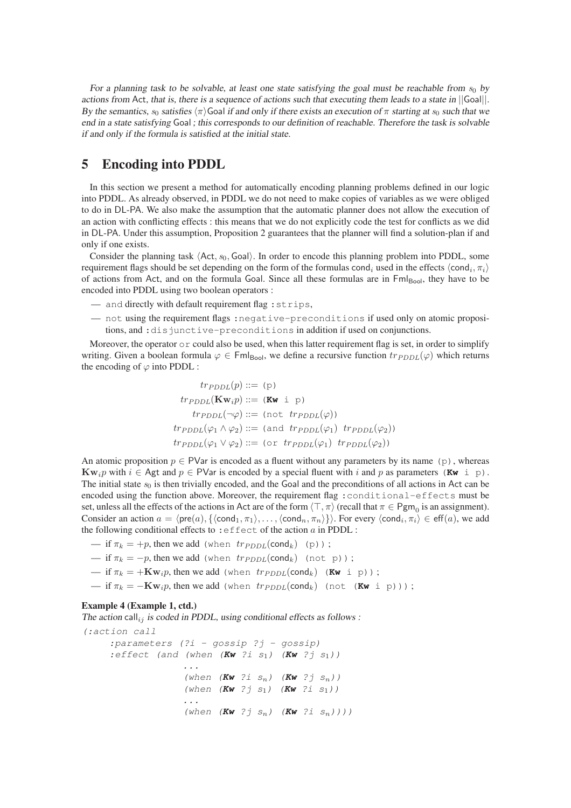For a planning task to be solvable, at least one state satisfying the goal must be reachable from  $s_0$  by *actions from* Act*, that is, there is a sequence of actions such that executing them leads to a state in* ||Goal||*. By the semantics,*  $s_0$  *satisfies*  $\langle \pi \rangle$  Goal *if and only if there exists an execution of*  $\pi$  *starting at*  $s_0$  *such that we end in a state satisfying* Goal *; this corresponds to our definition of reachable. Therefore the task is solvable if and only if the formula is satisfied at the initial state.*

### 5 Encoding into PDDL

In this section we present a method for automatically encoding planning problems defined in our logic into PDDL. As already observed, in PDDL we do not need to make copies of variables as we were obliged to do in DL-PA. We also make the assumption that the automatic planner does not allow the execution of an action with conflicting effects : this means that we do not explicitly code the test for conflicts as we did in DL-PA. Under this assumption, Proposition 2 guarantees that the planner will find a solution-plan if and only if one exists.

Consider the planning task  $\langle$ Act,  $s_0$ , Goal $\rangle$ . In order to encode this planning problem into PDDL, some requirement flags should be set depending on the form of the formulas cond<sub>i</sub> used in the effects  $\langle \text{cond}_i, \pi_i \rangle$ of actions from Act, and on the formula Goal. Since all these formulas are in  $Fml_{Bool}$ , they have to be encoded into PDDL using two boolean operators :

- and directly with default requirement flag :strips,
- not using the requirement flags :negative-preconditions if used only on atomic propositions, and :disjunctive-preconditions in addition if used on conjunctions.

Moreover, the operator  $\circ$  could also be used, when this latter requirement flag is set, in order to simplify writing. Given a boolean formula  $\varphi \in \mathsf{Fml}_{\mathsf{Bool}}$ , we define a recursive function  $tr_{PDDL}(\varphi)$  which returns the encoding of  $\varphi$  into PDDL :

$$
tr_{PDDL}(\mathbf{p}) ::= (\mathbf{p})
$$
  
\n
$$
tr_{PDDL}(\mathbf{Kw}_i p) ::= (\mathbf{Kw} \text{ i } \mathbf{p})
$$
  
\n
$$
tr_{PDDL}(\neg \varphi) ::= (\text{not } tr_{PDDL}(\varphi))
$$
  
\n
$$
tr_{PDDL}(\varphi_1 \land \varphi_2) ::= (\text{and } tr_{PDDL}(\varphi_1) \text{ tr}_{PDDL}(\varphi_2))
$$
  
\n
$$
tr_{PDDL}(\varphi_1 \lor \varphi_2) ::= (\text{or } tr_{PDDL}(\varphi_1) \text{ tr}_{PDDL}(\varphi_2))
$$

An atomic proposition  $p \in \text{PVar}$  is encoded as a fluent without any parameters by its name (p), whereas  $\mathbf{Kw}_i p$  with  $i \in \text{Agt}$  and  $p \in \text{PVar}$  is encoded by a special fluent with i and p as parameters ( $\mathbf{Kw}$  i p). The initial state  $s_0$  is then trivially encoded, and the Goal and the preconditions of all actions in Act can be encoded using the function above. Moreover, the requirement flag : conditional-effects must be set, unless all the effects of the actions in Act are of the form  $\langle \top, \pi \rangle$  (recall that  $\pi \in \text{Pgm}_0$  is an assignment). Consider an action  $a = \langle \text{pre}(a), \{\langle \text{cond}_1, \pi_1 \rangle, \dots, \langle \text{cond}_n, \pi_n \rangle\} \rangle$ . For every  $\langle \text{cond}_i, \pi_i \rangle \in \text{eff}(a)$ , we add the following conditional effects to : effect of the action  $a$  in PDDL :

- if  $\pi_k = +p$ , then we add (when  $tr_{PDDL}(\text{cond}_k)$  (p));
- if  $\pi_k = -p$ , then we add (when  $tr_{PDDL}(\text{cond}_k)$  (not p));
- $\mathbf{F} = \mathbf{F} \mathbf{K} \mathbf{w}_i$ , then we add (when  $tr_{PDDL}(\text{cond}_k)$  (**Kw** i p));
- if  $\pi_k = -\mathbf{Kw}_i p$ , then we add (when  $tr_{PDDL}(\text{cond}_k)$  (not  $(\mathbf{Kw} \text{ i } p)$ ));

#### Example 4 (Example 1, ctd.)

*The action* call<sub>ij</sub> *is coded in PDDL, using conditional effects as follows :* 

*(:action call :parameters (?i - gossip ?j - gossip) :effect (and (when (***Kw** *?i s*1*) (***Kw** *?j s*1*)) ... (when (***Kw** *?i s*n*) (***Kw** *?j s*n*)) (when (***Kw** *?j s*1*) (***Kw** *?i s*1*)) ... (when (***Kw** *?j s*n*) (***Kw** *?i s*n*))))*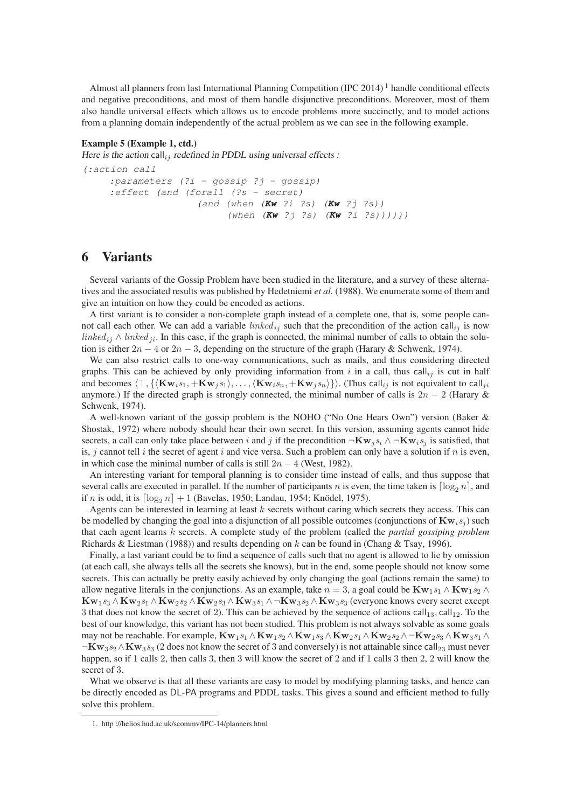Almost all planners from last International Planning Competition (IPC 2014)<sup>1</sup> handle conditional effects and negative preconditions, and most of them handle disjunctive preconditions. Moreover, most of them also handle universal effects which allows us to encode problems more succinctly, and to model actions from a planning domain independently of the actual problem as we can see in the following example.

#### Example 5 (Example 1, ctd.)

*Here is the action* call<sub>ij</sub> redefined in PDDL using universal effects :

```
(:action call
:parameters (?i - gossip ?j - gossip)
:effect (and (forall (?s - secret)
                (and (when (Kw ?i ?s) (Kw ?j ?s))
                      (when (Kw ?j ?s) (Kw ?i ?s))))))
```
### 6 Variants

Several variants of the Gossip Problem have been studied in the literature, and a survey of these alternatives and the associated results was published by Hedetniemi *et al.* (1988). We enumerate some of them and give an intuition on how they could be encoded as actions.

A first variant is to consider a non-complete graph instead of a complete one, that is, some people cannot call each other. We can add a variable *linked<sub>ij</sub>* such that the precondition of the action call<sub>ij</sub> is now linked<sub>ij</sub> ∧ linked<sub>ji</sub>. In this case, if the graph is connected, the minimal number of calls to obtain the solution is either  $2n - 4$  or  $2n - 3$ , depending on the structure of the graph (Harary & Schwenk, 1974).

We can also restrict calls to one-way communications, such as mails, and thus considering directed graphs. This can be achieved by only providing information from  $i$  in a call, thus call<sub>ij</sub> is cut in half and becomes  $\langle \top, \{\langle \mathbf{Kw}_i s_1, +\mathbf{Kw}_j s_1 \rangle, \ldots, \langle \mathbf{Kw}_i s_n, +\mathbf{Kw}_j s_n \rangle\}\rangle$ . (Thus call<sub>ij</sub> is not equivalent to call<sub>ii</sub> anymore.) If the directed graph is strongly connected, the minimal number of calls is  $2n - 2$  (Harary & Schwenk, 1974).

A well-known variant of the gossip problem is the NOHO ("No One Hears Own") version (Baker & Shostak, 1972) where nobody should hear their own secret. In this version, assuming agents cannot hide secrets, a call can only take place between i and j if the precondition  $\neg \mathbf{Kw}_i s_i \wedge \neg \mathbf{Kw}_i s_j$  is satisfied, that is, j cannot tell i the secret of agent i and vice versa. Such a problem can only have a solution if n is even, in which case the minimal number of calls is still  $2n - 4$  (West, 1982).

An interesting variant for temporal planning is to consider time instead of calls, and thus suppose that several calls are executed in parallel. If the number of participants n is even, the time taken is  $\lceil \log_2 n \rceil$ , and if n is odd, it is  $\lceil \log_2 n \rceil + 1$  (Bavelas, 1950; Landau, 1954; Knödel, 1975).

Agents can be interested in learning at least  $k$  secrets without caring which secrets they access. This can be modelled by changing the goal into a disjunction of all possible outcomes (conjunctions of  $\mathbf{Kw}_i s_j$ ) such that each agent learns k secrets. A complete study of the problem (called the *partial gossiping problem* Richards & Liestman (1988)) and results depending on  $k$  can be found in (Chang & Tsay, 1996).

Finally, a last variant could be to find a sequence of calls such that no agent is allowed to lie by omission (at each call, she always tells all the secrets she knows), but in the end, some people should not know some secrets. This can actually be pretty easily achieved by only changing the goal (actions remain the same) to allow negative literals in the conjunctions. As an example, take  $n = 3$ , a goal could be  $Kw_1s_1 \wedge Kw_1s_2 \wedge$  ${\rm Kw}_1 s_3 \wedge {\rm Kw}_2 s_1 \wedge {\rm Kw}_2 s_2 \wedge {\rm Kw}_2 s_3 \wedge {\rm Kw}_3 s_1 \wedge \neg {\rm Kw}_3 s_2 \wedge {\rm Kw}_3 s_3$  (everyone knows every secret except 3 that does not know the secret of 2). This can be achieved by the sequence of actions  $\text{call}_{13}$ , call<sub>12</sub>. To the best of our knowledge, this variant has not been studied. This problem is not always solvable as some goals may not be reachable. For example,  $Kw_1s_1 \wedge Kw_1s_2 \wedge Kw_1s_3 \wedge Kw_2s_1 \wedge Kw_2s_2 \wedge \neg Kw_2s_3 \wedge Kw_3s_1 \wedge$  $\neg$ Kw<sub>3</sub>s<sub>2</sub>  $\wedge$ Kw<sub>3</sub>s<sub>3</sub> (2 does not know the secret of 3 and conversely) is not attainable since call<sub>23</sub> must never happen, so if 1 calls 2, then calls 3, then 3 will know the secret of 2 and if 1 calls 3 then 2, 2 will know the secret of 3.

What we observe is that all these variants are easy to model by modifying planning tasks, and hence can be directly encoded as DL-PA programs and PDDL tasks. This gives a sound and efficient method to fully solve this problem.

<sup>1.</sup> http ://helios.hud.ac.uk/scommv/IPC-14/planners.html